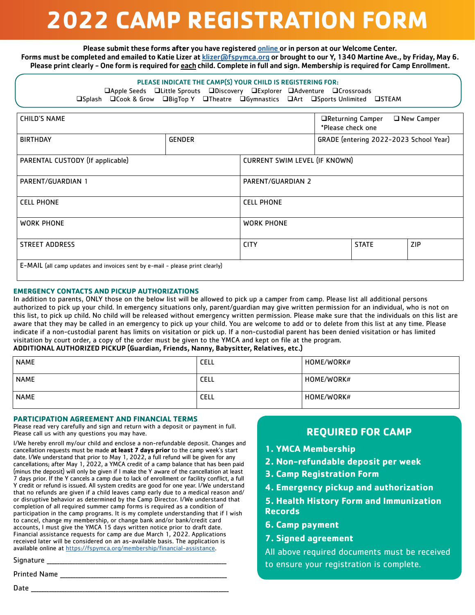# **2022 CAMP REGISTRATION FORM**

Please submit these forms **after** you have registered [online](https://fspymca.org/register) or in person at our Welcome Center. Forms must be completed and emailed to Katie Lizer at [klizer@fspymca.org](mailto:klizer%40fspymca.org?subject=) or brought to our Y, 1340 Martine Ave., by Friday, May 6. Please print clearly - One form is required for each child. Complete in full and sign. Membership is required for Camp Enrollment.

#### PLEASE INDICATE THE CAMP(S) YOUR CHILD IS REGISTERING FOR:

**QApple Seeds** QLittle Sprouts QDiscovery QExplorer QAdventure QCrossroads qSplash qCook & Grow qBigTop Y qTheatre qGymnastics qArt qSports Unlimited qSTEAM

| <b>CHILD'S NAME</b>                                                          |               |                                      | □Returning Camper<br>*Please check one |  | $\Box$ New Camper |
|------------------------------------------------------------------------------|---------------|--------------------------------------|----------------------------------------|--|-------------------|
| <b>BIRTHDAY</b>                                                              | <b>GENDER</b> |                                      | GRADE (entering 2022-2023 School Year) |  |                   |
| PARENTAL CUSTODY (If applicable)                                             |               | <b>CURRENT SWIM LEVEL (IF KNOWN)</b> |                                        |  |                   |
| PARENT/GUARDIAN 1                                                            |               | PARENT/GUARDIAN 2                    |                                        |  |                   |
| <b>CELL PHONE</b>                                                            |               | <b>CELL PHONE</b>                    |                                        |  |                   |
| <b>WORK PHONE</b>                                                            |               | <b>WORK PHONE</b>                    |                                        |  |                   |
| <b>STREET ADDRESS</b>                                                        |               | ZIP<br><b>CITY</b><br><b>STATE</b>   |                                        |  |                   |
| E-MAIL (all camp updates and invoices sent by e-mail - please print clearly) |               |                                      |                                        |  |                   |

#### **EMERGENCY CONTACTS AND PICKUP AUTHORIZATIONS**

In addition to parents, ONLY those on the below list will be allowed to pick up a camper from camp. Please list all additional persons authorized to pick up your child. In emergency situations only, parent/guardian may give written permission for an individual, who is not on this list, to pick up child. No child will be released without emergency written permission. Please make sure that the individuals on this list are aware that they may be called in an emergency to pick up your child. You are welcome to add or to delete from this list at any time. Please indicate if a non-custodial parent has limits on visitation or pick up. If a non-custodial parent has been denied visitation or has limited visitation by court order, a copy of the order must be given to the YMCA and kept on file at the program. ADDITIONAL AUTHORIZED PICKUP (Guardian, Friends, Nanny, Babysitter, Relatives, etc.)

| <b>NAME</b> | <b>CELL</b> | HOME/WORK# |
|-------------|-------------|------------|
| <b>NAME</b> | <b>CELL</b> | HOME/WORK# |
| <b>NAME</b> | <b>CELL</b> | HOME/WORK# |

#### **PARTICIPATION AGREEMENT AND FINANCIAL TERMS**

Please read very carefully and sign and return with a deposit or payment in full. Please call us with any questions you may have.

I/We hereby enroll my/our child and enclose a non-refundable deposit. Changes and cancellation requests must be made **at least 7 days prior** to the camp week's start date. I/We understand that prior to May 1, 2022, a full refund will be given for any cancellations; after May 1, 2022, a YMCA credit of a camp balance that has been paid (minus the deposit) will only be given if I make the Y aware of the cancellation at least 7 days prior. If the Y cancels a camp due to lack of enrollment or facility conflict, a full Y credit or refund is issued. All system credits are good for one year. I/We understand that no refunds are given if a child leaves camp early due to a medical reason and/ or disruptive behavior as determined by the Camp Director. I/We understand that completion of all required summer camp forms is required as a condition of participation in the camp programs. It is my complete understanding that if I wish to cancel, change my membership, or change bank and/or bank/credit card accounts, I must give the YMCA 15 days written notice prior to draft date. Financial assistance requests for camp are due March 1, 2022. Applications received later will be considered on an as-available basis. The application is available online at <https://fspymca.org/membership/financial-assistance>.

Signature \_\_\_\_\_\_\_\_\_\_\_\_\_\_\_\_\_\_\_\_\_\_\_\_\_\_\_\_\_\_\_\_\_\_\_\_\_\_\_\_\_\_\_\_\_\_\_\_\_\_\_\_\_\_\_\_\_\_\_\_\_\_\_\_\_\_\_\_\_\_

Printed Name \_\_\_\_\_\_\_\_\_\_\_\_\_\_\_\_\_\_\_\_\_\_\_\_\_\_\_\_\_\_\_\_\_\_\_\_\_\_\_\_\_\_\_\_\_\_\_\_\_\_\_\_\_\_\_\_\_\_\_\_\_\_\_\_\_

### **REQUIRED FOR CAMP**

- **1. YMCA Membership**
- **2. Non-refundable deposit per week**
- **3. Camp Registration Form**
- **4. Emergency pickup and authorization**

### **5. Health History Form and Immunization Records**

- **6. Camp payment**
- **7. Signed agreement**

All above required documents must be received to ensure your registration is complete.

Date \_\_\_\_\_\_\_\_\_\_\_\_\_\_\_\_\_\_\_\_\_\_\_\_\_\_\_\_\_\_\_\_\_\_\_\_\_\_\_\_\_\_\_\_\_\_\_\_\_\_\_\_\_\_\_\_\_\_\_\_\_\_\_\_\_\_\_\_\_\_\_\_\_\_\_\_\_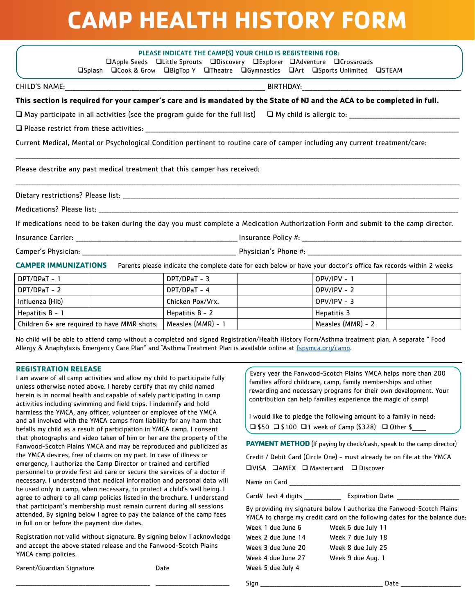# **CAMP HEALTH HISTORY FORM**

|                             |  | PLEASE INDICATE THE CAMP(S) YOUR CHILD IS REGISTERING FOR:                |  |                                                                                                                              |                                                                                                                                   |
|-----------------------------|--|---------------------------------------------------------------------------|--|------------------------------------------------------------------------------------------------------------------------------|-----------------------------------------------------------------------------------------------------------------------------------|
|                             |  | □Apple Seeds □Little Sprouts □Discovery □Explorer □Adventure □Crossroads  |  |                                                                                                                              |                                                                                                                                   |
|                             |  |                                                                           |  | □Splash □Cook & Grow □BigTop Y □Theatre □Gymnastics □Art □Sports Unlimited □STEAM                                            |                                                                                                                                   |
|                             |  |                                                                           |  |                                                                                                                              |                                                                                                                                   |
|                             |  |                                                                           |  | This section is required for your camper's care and is mandated by the State of NJ and the ACA to be completed in full.      |                                                                                                                                   |
|                             |  |                                                                           |  |                                                                                                                              |                                                                                                                                   |
|                             |  |                                                                           |  |                                                                                                                              |                                                                                                                                   |
|                             |  |                                                                           |  | Current Medical, Mental or Psychological Condition pertinent to routine care of camper including any current treatment/care: |                                                                                                                                   |
|                             |  |                                                                           |  |                                                                                                                              |                                                                                                                                   |
|                             |  | Please describe any past medical treatment that this camper has received: |  |                                                                                                                              |                                                                                                                                   |
|                             |  |                                                                           |  |                                                                                                                              |                                                                                                                                   |
|                             |  |                                                                           |  |                                                                                                                              |                                                                                                                                   |
|                             |  |                                                                           |  |                                                                                                                              |                                                                                                                                   |
|                             |  |                                                                           |  |                                                                                                                              | If medications need to be taken during the day you must complete a Medication Authorization Form and submit to the camp director. |
|                             |  |                                                                           |  |                                                                                                                              |                                                                                                                                   |
|                             |  |                                                                           |  |                                                                                                                              |                                                                                                                                   |
| <b>CAMPER IMMUNIZATIONS</b> |  |                                                                           |  |                                                                                                                              | Parents please indicate the complete date for each below or have your doctor's office fax records within 2 weeks                  |
| DPT/DPaT – 1                |  | DPT/DPaT - 3                                                              |  | $OPV/IPV - 1$                                                                                                                |                                                                                                                                   |
| DPT/DPaT - 2                |  | DPT/DPaT - 4                                                              |  | $OPV/IPV - 2$                                                                                                                |                                                                                                                                   |

| DPT/DPaT – 2                                | DPT/DPaT - 4      | OPV/IPV - 2       |
|---------------------------------------------|-------------------|-------------------|
| Influenza (Hib)                             | Chicken Pox/Vrx.  | $OPV/IPV - 3$     |
| Hepatitis B - 1                             | Hepatitis B - 2   | Hepatitis 3       |
| Children 6+ are required to have MMR shots: | Measles (MMR) - 1 | Measles (MMR) - 2 |

No child will be able to attend camp without a completed and signed Registration/Health History Form/Asthma treatment plan. A separate " Food Allergy & Anaphylaxis Emergency Care Plan" and "Asthma Treatment Plan is available online at [fspymca.org/camp](https://fspymca.org/camp).

#### **REGISTRATION RELEASE**

I am aware of all camp activities and allow my child to participate fully unless otherwise noted above. I hereby certify that my child named herein is in normal health and capable of safely participating in camp activities including swimming and field trips. I indemnify and hold harmless the YMCA, any officer, volunteer or employee of the YMCA and all involved with the YMCA camps from liability for any harm that befalls my child as a result of participation in YMCA camp. I consent that photographs and video taken of him or her are the property of the Fanwood-Scotch Plains YMCA and may be reproduced and publicized as the YMCA desires, free of claims on my part. In case of illness or emergency, I authorize the Camp Director or trained and certified personnel to provide first aid care or secure the services of a doctor if necessary. I understand that medical information and personal data will be used only in camp, when necessary, to protect a child's well being. I agree to adhere to all camp policies listed in the brochure. I understand that participant's membership must remain current during all sessions attended. By signing below I agree to pay the balance of the camp fees in full on or before the payment due dates.

Registration not valid without signature. By signing below I acknowledge and accept the above stated release and the Fanwood-Scotch Plains YMCA camp policies.

\_\_\_\_\_\_\_\_\_\_\_\_\_\_\_\_\_\_\_\_\_\_\_\_\_\_\_\_\_\_\_\_\_\_\_\_\_\_\_\_\_\_\_\_\_\_\_\_\_\_\_\_\_\_\_\_\_\_ \_\_\_\_\_\_\_\_\_\_\_\_\_\_\_\_\_\_\_\_\_\_\_\_\_\_\_\_\_\_\_\_

Parent/Guardian Signature **Date** Date

Every year the Fanwood-Scotch Plains YMCA helps more than 200 families afford childcare, camp, family memberships and other rewarding and necessary programs for their own development. Your contribution can help families experience the magic of camp!

I would like to pledge the following amount to a family in need: q \$50 q \$100 q1 week of Camp (\$328) q Other \$\_\_\_\_\_\_

PAYMENT METHOD (If paying by check/cash, speak to the camp director)

Credit / Debit Card (Circle One) - must already be on file at the YMCA  $\Box$ VISA  $\Box$ AMEX  $\Box$  Mastercard  $\Box$  Discover

Name on Card

Card# last 4 digits \_\_\_\_\_\_\_\_\_\_\_\_\_\_\_\_\_ Expiration Date: \_\_\_\_\_\_

By providing my signature below I authorize the Fanwood-Scotch Plains YMCA to charge my credit card on the following dates for the balance due:

| Week 1 due June 6  | Week 6 due July 11 |
|--------------------|--------------------|
| Week 2 due June 14 | Week 7 due July 18 |
| Week 3 due June 20 | Week 8 due July 25 |
| Week 4 due June 27 | Week 9 due Aug. 1  |
| Week 5 due July 4  |                    |
|                    |                    |

Sign \_\_\_\_\_\_\_\_\_\_\_\_\_\_\_\_\_\_\_\_\_\_\_\_\_\_\_\_\_\_\_\_\_\_\_\_\_\_\_\_\_\_\_\_\_\_\_\_\_\_\_\_\_ Date \_\_\_\_\_\_\_\_\_\_\_\_\_\_\_\_\_\_\_\_\_\_\_\_\_\_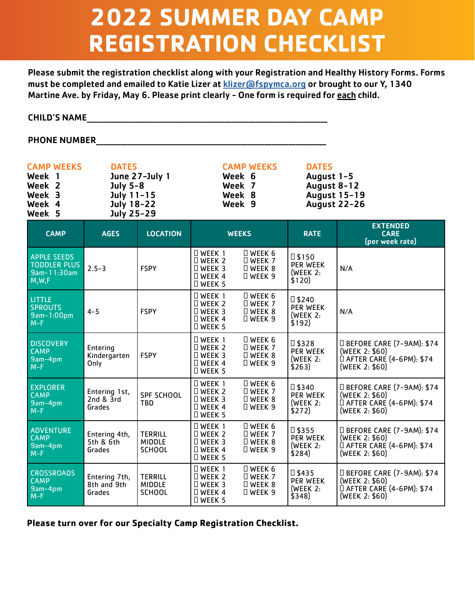# **2022 SUMMER DAY CAMP REGISTRATION CHECKLIST**

Please submit the registration checklist along with your Registration and Healthy History Forms. Forms must be completed and emailed to Katie Lizer at klizer@fspymca.org or brought to our Y, 1340 Martine Ave. by Friday, May 6. Please print clearly - One form is required for each child.

CHILD'S NAME\_\_\_\_\_\_\_\_\_\_\_\_\_\_\_\_\_\_\_\_\_\_\_\_\_\_\_\_\_\_\_\_\_\_\_\_\_\_\_\_\_\_\_\_\_\_\_\_\_\_\_\_\_\_\_\_\_\_\_\_\_\_\_\_\_\_\_\_\_\_

PHONE NUMBER\_\_\_\_\_\_\_\_\_\_\_\_\_\_\_\_\_\_\_\_\_\_\_\_\_\_\_\_\_\_\_\_\_\_\_\_\_\_\_\_\_\_\_\_\_\_\_\_\_\_\_\_\_\_\_\_\_\_\_\_\_\_\_\_\_\_\_

| <b>CAMP WEEKS</b> | <b>DATES</b>   | <b>CAMP WEEKS</b> | <b>DATES</b>        |
|-------------------|----------------|-------------------|---------------------|
| Week 1            | June 27-July 1 | Week 6            | August 1-5          |
| Week 2            | July 5-8       | Week 7            | August 8-12         |
| Week 3            | July 11-15     | Week 8            | <b>August 15-19</b> |
| Week 4            | July 18-22     | Week 9            | <b>August 22-26</b> |
| Week 5            | July 25-29     |                   |                     |

| <b>CAMP</b>                                                         | <b>AGES</b>                            | <b>LOCATION</b>                                  | <b>WEEKS</b>                                                                          |                                                                          | <b>RATE</b>                                                          | <b>EXTENDED</b><br><b>CARE</b><br>(per week rate)                                             |
|---------------------------------------------------------------------|----------------------------------------|--------------------------------------------------|---------------------------------------------------------------------------------------|--------------------------------------------------------------------------|----------------------------------------------------------------------|-----------------------------------------------------------------------------------------------|
| <b>APPLE SEEDS</b><br><b>TODDLER PLUS</b><br>9am-11:30am<br>M, W, F | $2.5 - 3$                              | <b>FSPY</b>                                      | $\Box$ WEEK 1<br>$\Box$ WEEK 2<br>$\Box$ WEEK 3<br>□ WEEK 4<br><b>DWEEK 5</b>         | $\square$ WEEK 6<br>$\Box$ WEEK 7<br><b>D</b> WEEK 8<br><b>DWEEK 9</b>   | $\square$ \$150<br><b>PER WEEK</b><br>(WEEK 2)<br>\$120)             | N/A                                                                                           |
| <b>LITTLE</b><br><b>SPROUTS</b><br>9am-1:00pm<br>$M-F$              | $4 - 5$                                | <b>FSPY</b>                                      | $\Box$ WEEK 1<br>$\Box$ WEEK 2<br>$\Box$ WEEK 3<br>$\Box$ WEEK 4<br><b>DWEEK 5</b>    | $\square$ WEEK 6<br>$\Box$ WEEK 7<br>$\Box$ WEEK 8<br>$\Box$ WEEK 9      | $\square$ \$240<br><b>PER WEEK</b><br>(WEEK <sub>2</sub> :<br>\$192) | N/A                                                                                           |
| <b>DISCOVERY</b><br><b>CAMP</b><br>9am-4pm<br>$M-F$                 | Entering<br>Kindergarten<br>Only       | <b>FSPY</b>                                      | $\Box$ WEEK 1<br>$\Box$ WEEK 2<br>$\Box$ WEEK 3<br>$\Box$ WEEK 4<br>$\Box$ WEEK 5     | $\square$ WEEK 6<br>$\square$ WEEK 7<br><b>D</b> WEEK 8<br>$\Box$ WEEK 9 | $\square$ \$328<br>PER WEEK<br>(WEEK <sub>2</sub> :<br>\$263)        | □ BEFORE CARE (7-9AM): \$74<br>(WEEK 2: \$60)<br>□ AFTER CARE (4-6PM): \$74<br>(WEEK 2: \$60) |
| <b>EXPLORER</b><br><b>CAMP</b><br>9am-4pm<br>$M-F$                  | Entering 1st,<br>2nd & 3rd<br>Grades   | <b>SPF SCHOOL</b><br><b>TBD</b>                  | $\Box$ WEEK 1<br>$\square$ WEEK 2<br>$\Box$ WEEK 3<br>$\Box$ WEEK 4<br><b>DWEEK 5</b> | $\square$ WEEK 6<br>$\square$ WEEK 7<br><b>DWEEK8</b><br>$\Box$ WEEK 9   | □ \$340<br><b>PER WEEK</b><br>(WEEK 2)<br>\$272)                     | □ BEFORE CARE (7-9AM): \$74<br>(WEEK 2: \$60)<br>□ AFTER CARE (4-6PM): \$74<br>(WEEK 2: \$60) |
| <b>ADVENTURE</b><br><b>CAMP</b><br>$9am-4pm$<br>$M-F$               | Entering 4th,<br>5th & 6th<br>Grades   | <b>TERRILL</b><br><b>MIDDLE</b><br><b>SCHOOL</b> | $\Box$ WEEK 1<br>$\Box$ WEEK 2<br>$\Box$ WEEK 3<br>$\Box$ WEEK 4<br><b>DWEEK 5</b>    | $\Box$ WEEK 6<br>$\Box$ Week 7<br>$\Box$ Week 8<br>$\Box$ WEEK 9         | □ \$355<br><b>PER WEEK</b><br>(WEEK 2)<br>\$284)                     | □ BEFORE CARE (7-9AM): \$74<br>(WEEK 2: \$60)<br>□ AFTER CARE (4-6PM): \$74<br>(WEEK 2: \$60) |
| <b>CROSSROADS</b><br><b>CAMP</b><br>9am-4pm<br>$M-F$                | Entering 7th,<br>8th and 9th<br>Grades | <b>TERRILL</b><br><b>MIDDLE</b><br><b>SCHOOL</b> | $\Box$ WEEK 1<br>$\Box$ WEEK 2<br>$\Box$ WEEK 3<br>$\Box$ WEEK 4<br>$\Box$ WEEK 5     | $\square$ WEEK 6<br>$\Box$ Week 7<br>$\Box$ WEEK 8<br>$\square$ WEEK 9   | □ \$435<br><b>PER WEEK</b><br>(WEEK <sub>2</sub> :<br>\$348)         | □ BEFORE CARE (7-9AM): \$74<br>(WEEK 2: \$60)<br>□ AFTER CARE (4-6PM): \$74<br>(WEEK 2: \$60) |

**Please turn over for our Specialty Camp Registration Checklist.**